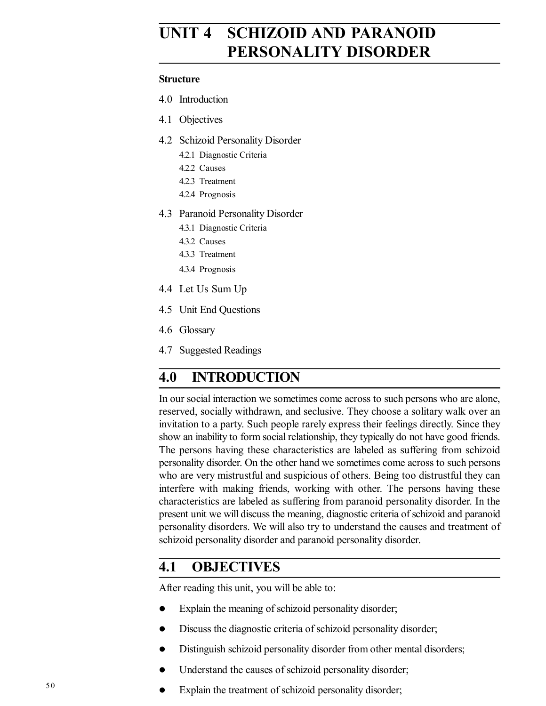# **UNIT 4 SCHIZOID AND PARANOID PERSONALITY DISORDER**

#### **Structure**

- 4.0 Introduction
- 4.1 Objectives
- 4.2 Schizoid Personality Disorder
	- 4.2.1 Diagnostic Criteria
	- 4.2.2 Causes
	- 4.2.3 Treatment
	- 4.2.4 Prognosis
- 4.3 Paranoid Personality Disorder
	- 4.3.1 Diagnostic Criteria
	- 4.3.2 Causes
	- 4.3.3 Treatment
	- 4.3.4 Prognosis
- 4.4 Let Us Sum Up
- 4.5 Unit End Questions
- 4.6 Glossary
- 4.7 Suggested Readings

# **4.0 INTRODUCTION**

In our social interaction we sometimes come across to such persons who are alone, reserved, socially withdrawn, and seclusive. They choose a solitary walk over an invitation to a party. Such people rarely express their feelings directly. Since they show an inability to form social relationship, they typically do not have good friends. The persons having these characteristics are labeled as suffering from schizoid personality disorder. On the other hand we sometimes come across to such persons who are very mistrustful and suspicious of others. Being too distrustful they can interfere with making friends, working with other. The persons having these characteristics are labeled as suffering from paranoid personality disorder. In the present unit we will discuss the meaning, diagnostic criteria of schizoid and paranoid personality disorders. We will also try to understand the causes and treatment of schizoid personality disorder and paranoid personality disorder.

# **4.1 OBJECTIVES**

After reading this unit, you will be able to:

- Explain the meaning of schizoid personality disorder;
- Discuss the diagnostic criteria of schizoid personality disorder;
- Distinguish schizoid personality disorder from other mental disorders;
- Understand the causes of schizoid personality disorder;
- $\bullet$  Explain the treatment of schizoid personality disorder;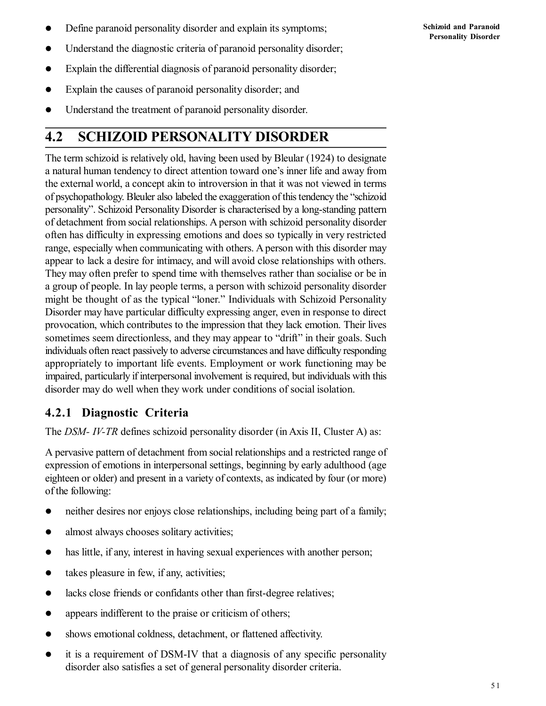- Define paranoid personality disorder and explain its symptoms;
- Understand the diagnostic criteria of paranoid personality disorder;
- Explain the differential diagnosis of paranoid personality disorder;
- Explain the causes of paranoid personality disorder; and
- Understand the treatment of paranoid personality disorder.

# **4.2 SCHIZOID PERSONALITY DISORDER**

The term schizoid is relatively old, having been used by Bleular (1924) to designate a natural human tendency to direct attention toward one's inner life and away from the external world, a concept akin to introversion in that it was not viewed in terms of psychopathology. Bleuler also labeled the exaggeration of this tendency the "schizoid personality". Schizoid Personality Disorder is characterised by a long-standing pattern of detachment from social relationships. A person with schizoid personality disorder often has difficulty in expressing emotions and does so typically in very restricted range, especially when communicating with others. A person with this disorder may appear to lack a desire for intimacy, and will avoid close relationships with others. They may often prefer to spend time with themselves rather than socialise or be in a group of people. In lay people terms, a person with schizoid personality disorder might be thought of as the typical "loner." Individuals with Schizoid Personality Disorder may have particular difficulty expressing anger, even in response to direct provocation, which contributes to the impression that they lack emotion. Their lives sometimes seem directionless, and they may appear to "drift" in their goals. Such individuals often react passively to adverse circumstances and have difficulty responding appropriately to important life events. Employment or work functioning may be impaired, particularly if interpersonal involvement is required, but individuals with this disorder may do well when they work under conditions of social isolation.

# **4.2.1 Diagnostic Criteria**

The *DSM- IV-TR* defines schizoid personality disorder (in Axis II, Cluster A) as:

A pervasive pattern of detachment from social relationships and a restricted range of expression of emotions in interpersonal settings, beginning by early adulthood (age eighteen or older) and present in a variety of contexts, as indicated by four (or more) of the following:

- neither desires nor enjoys close relationships, including being part of a family;
- almost always chooses solitary activities;
- has little, if any, interest in having sexual experiences with another person;
- takes pleasure in few, if any, activities;
- lacks close friends or confidants other than first-degree relatives;
- appears indifferent to the praise or criticism of others;
- shows emotional coldness, detachment, or flattened affectivity.
- it is a requirement of DSM-IV that a diagnosis of any specific personality disorder also satisfies a set of general personality disorder criteria.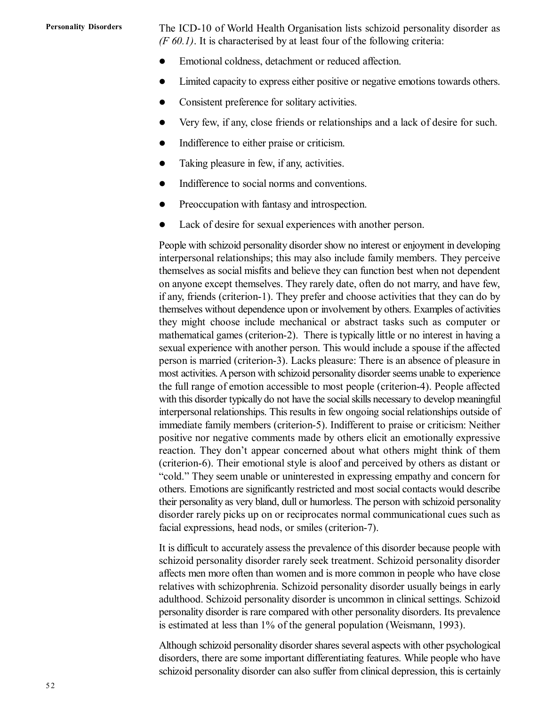#### **Personality Disorders**

The ICD-10 of World Health Organisation lists schizoid personality disorder as *(F 60.1)*. It is characterised by at least four of the following criteria:

- Emotional coldness, detachment or reduced affection.
- Limited capacity to express either positive or negative emotions towards others.
- Consistent preference for solitary activities.
- Very few, if any, close friends or relationships and a lack of desire for such.
- Indifference to either praise or criticism.
- Taking pleasure in few, if any, activities.
- Indifference to social norms and conventions.
- Preoccupation with fantasy and introspection.
- Lack of desire for sexual experiences with another person.

People with schizoid personality disorder show no interest or enjoyment in developing interpersonal relationships; this may also include family members. They perceive themselves as social misfits and believe they can function best when not dependent on anyone except themselves. They rarely date, often do not marry, and have few, if any, friends (criterion-1). They prefer and choose activities that they can do by themselves without dependence upon or involvement by others. Examples of activities they might choose include mechanical or abstract tasks such as computer or mathematical games (criterion-2). There is typically little or no interest in having a sexual experience with another person. This would include a spouse if the affected person is married (criterion-3). Lacks pleasure: There is an absence of pleasure in most activities. A person with schizoid personality disorder seems unable to experience the full range of emotion accessible to most people (criterion-4). People affected with this disorder typically do not have the social skills necessary to develop meaningful interpersonal relationships. This results in few ongoing social relationships outside of immediate family members (criterion-5). Indifferent to praise or criticism: Neither positive nor negative comments made by others elicit an emotionally expressive reaction. They don't appear concerned about what others might think of them (criterion-6). Their emotional style is aloof and perceived by others as distant or "cold." They seem unable or uninterested in expressing empathy and concern for others. Emotions are significantly restricted and most social contacts would describe their personality as very bland, dull or humorless. The person with schizoid personality disorder rarely picks up on or reciprocates normal communicational cues such as facial expressions, head nods, or smiles (criterion-7).

It is difficult to accurately assess the prevalence of this disorder because people with schizoid personality disorder rarely seek treatment. Schizoid personality disorder affects men more often than women and is more common in people who have close relatives with schizophrenia. Schizoid personality disorder usually beings in early adulthood. Schizoid personality disorder is uncommon in clinical settings. Schizoid personality disorder is rare compared with other personality disorders. Its prevalence is estimated at less than 1% of the general population (Weismann, 1993).

Although schizoid personality disorder shares several aspects with other psychological disorders, there are some important differentiating features. While people who have schizoid personality disorder can also suffer from clinical depression, this is certainly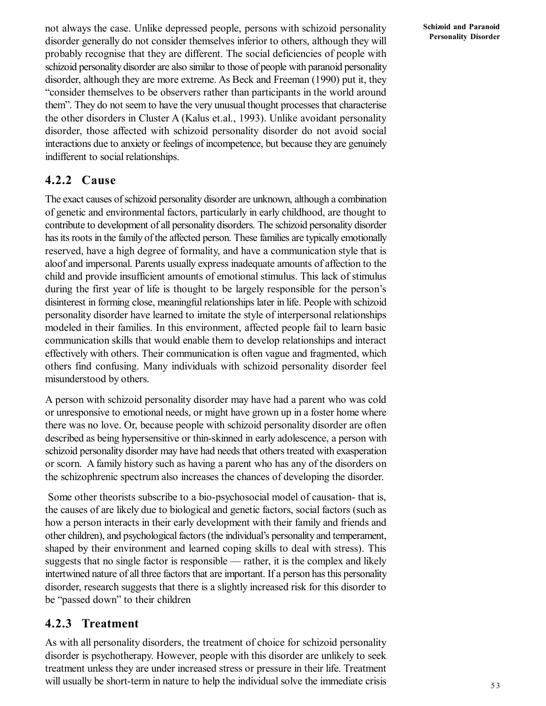not always the case. Unlike depressed people, persons with schizoid personality disorder generally do not consider themselves inferior to others, although they will probably recognise that they are different. The social deficiencies of people with schizoid personality disorder are also similar to those of people with paranoid personality disorder, although they are more extreme. As Beck and Freeman (1990) put it, they "consider themselves to be observers rather than participants in the world around them". They do not seem to have the very unusual thought processes that characterise the other disorders in Cluster A (Kalus et.al., 1993). Unlike avoidant personality disorder, those affected with schizoid personality disorder do not avoid social interactions due to anxiety or feelings of incompetence, but because they are genuinely indifferent to social relationships.

#### **4.2.2 Cause**

The exact causes of schizoid personality disorder are unknown, although a combination of genetic and environmental factors, particularly in early childhood, are thought to contribute to development of all personality disorders. The schizoid personality disorder has its roots in the family of the affected person. These families are typically emotionally reserved, have a high degree of formality, and have a communication style that is aloof and impersonal. Parents usually express inadequate amounts of affection to the child and provide insufficient amounts of emotional stimulus. This lack of stimulus during the first year of life is thought to be largely responsible for the person's disinterest in forming close, meaningful relationships later in life. People with schizoid personality disorder have learned to imitate the style of interpersonal relationships modeled in their families. In this environment, affected people fail to learn basic communication skills that would enable them to develop relationships and interact effectively with others. Their communication is often vague and fragmented, which others find confusing. Many individuals with schizoid personality disorder feel misunderstood by others.

A person with schizoid personality disorder may have had a parent who was cold or unresponsive to emotional needs, or might have grown up in a foster home where there was no love. Or, because people with schizoid personality disorder are often described as being hypersensitive or thin-skinned in early adolescence, a person with schizoid personality disorder may have had needs that others treated with exasperation or scorn. A family history such as having a parent who has any of the disorders on the schizophrenic spectrum also increases the chances of developing the disorder.

 Some other theorists subscribe to a bio-psychosocial model of causation- that is, the causes of are likely due to biological and genetic factors, social factors (such as how a person interacts in their early development with their family and friends and other children), and psychological factors (the individual's personality and temperament, shaped by their environment and learned coping skills to deal with stress). This suggests that no single factor is responsible — rather, it is the complex and likely intertwined nature of all three factors that are important. If a person has this personality disorder, research suggests that there is a slightly increased risk for this disorder to be "passed down" to their children

#### **4.2.3 Treatment**

As with all personality disorders, the treatment of choice for schizoid personality disorder is psychotherapy. However, people with this disorder are unlikely to seek treatment unless they are under increased stress or pressure in their life. Treatment will usually be short-term in nature to help the individual solve the immediate crisis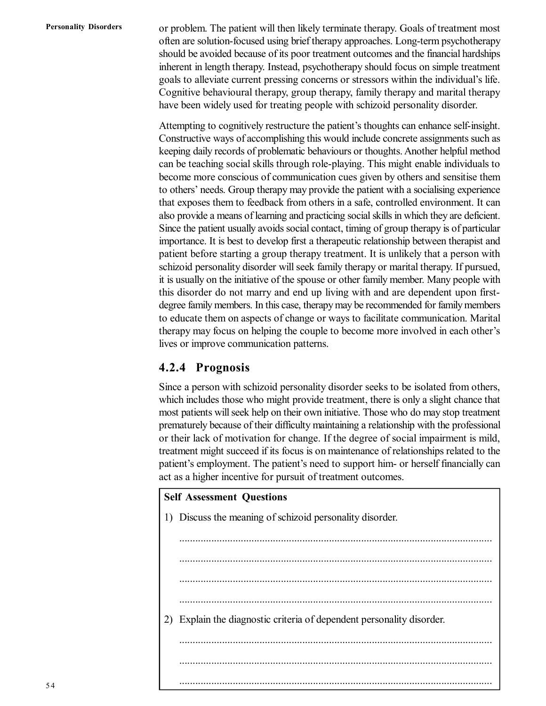or problem. The patient will then likely terminate therapy. Goals of treatment most often are solution-focused using brief therapy approaches. Long-term psychotherapy should be avoided because of its poor treatment outcomes and the financial hardships inherent in length therapy. Instead, psychotherapy should focus on simple treatment goals to alleviate current pressing concerns or stressors within the individual's life. Cognitive behavioural therapy, group therapy, family therapy and marital therapy have been widely used for treating people with schizoid personality disorder.

Attempting to cognitively restructure the patient's thoughts can enhance self-insight. Constructive ways of accomplishing this would include concrete assignments such as keeping daily records of problematic behaviours or thoughts. Another helpful method can be teaching social skills through role-playing. This might enable individuals to become more conscious of communication cues given by others and sensitise them to others' needs. Group therapy may provide the patient with a socialising experience that exposes them to feedback from others in a safe, controlled environment. It can also provide a means of learning and practicing social skills in which they are deficient. Since the patient usually avoids social contact, timing of group therapy is of particular importance. It is best to develop first a therapeutic relationship between therapist and patient before starting a group therapy treatment. It is unlikely that a person with schizoid personality disorder will seek family therapy or marital therapy. If pursued, it is usually on the initiative of the spouse or other family member. Many people with this disorder do not marry and end up living with and are dependent upon firstdegree family members. In this case, therapy may be recommended for family members to educate them on aspects of change or ways to facilitate communication. Marital therapy may focus on helping the couple to become more involved in each other's lives or improve communication patterns.

### **4.2.4 Prognosis**

Since a person with schizoid personality disorder seeks to be isolated from others, which includes those who might provide treatment, there is only a slight chance that most patients will seek help on their own initiative. Those who do may stop treatment prematurely because of their difficulty maintaining a relationship with the professional or their lack of motivation for change. If the degree of social impairment is mild, treatment might succeed if its focus is on maintenance of relationships related to the patient's employment. The patient's need to support him- or herself financially can act as a higher incentive for pursuit of treatment outcomes.

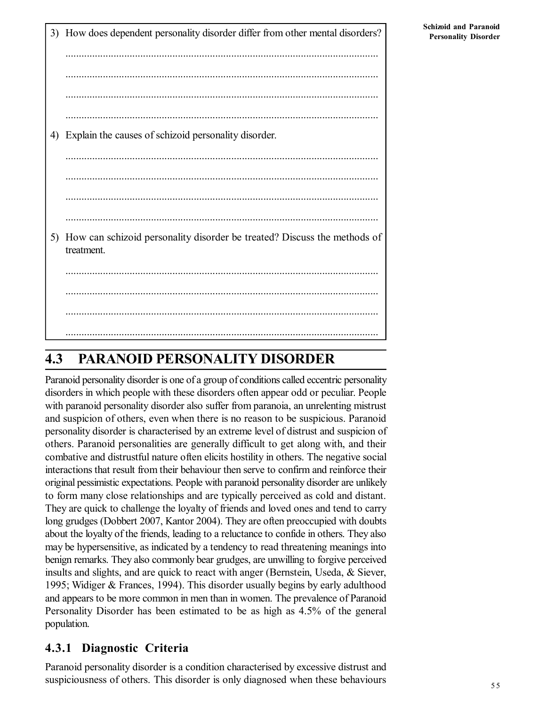3) How does dependent personality disorder differ from other mental disorders? ..................................................................................................................... ..................................................................................................................... ..................................................................................................................... ..................................................................................................................... 4) Explain the causes of schizoid personality disorder. ..................................................................................................................... ..................................................................................................................... ..................................................................................................................... ..................................................................................................................... 5) How can schizoid personality disorder be treated? Discuss the methods of treatment. ..................................................................................................................... ..................................................................................................................... ..................................................................................................................... .....................................................................................................................

# **4.3 PARANOID PERSONALITY DISORDER**

Paranoid personality disorder is one of a group of conditions called eccentric personality disorders in which people with these disorders often appear odd or peculiar. People with paranoid personality disorder also suffer from paranoia, an unrelenting mistrust and suspicion of others, even when there is no reason to be suspicious. Paranoid personality disorder is characterised by an extreme level of distrust and suspicion of others. Paranoid personalities are generally difficult to get along with, and their combative and distrustful nature often elicits hostility in others. The negative social interactions that result from their behaviour then serve to confirm and reinforce their original pessimistic expectations. People with paranoid personality disorder are unlikely to form many close relationships and are typically perceived as cold and distant. They are quick to challenge the loyalty of friends and loved ones and tend to carry long grudges (Dobbert 2007, Kantor 2004). They are often preoccupied with doubts about the loyalty of the friends, leading to a reluctance to confide in others. They also may be hypersensitive, as indicated by a tendency to read threatening meanings into benign remarks. They also commonly bear grudges, are unwilling to forgive perceived insults and slights, and are quick to react with anger (Bernstein, Useda, & Siever, 1995; Widiger & Frances, 1994). This disorder usually begins by early adulthood and appears to be more common in men than in women. The prevalence of Paranoid Personality Disorder has been estimated to be as high as 4.5% of the general population.

### **4.3.1 Diagnostic Criteria**

Paranoid personality disorder is a condition characterised by excessive distrust and suspiciousness of others. This disorder is only diagnosed when these behaviours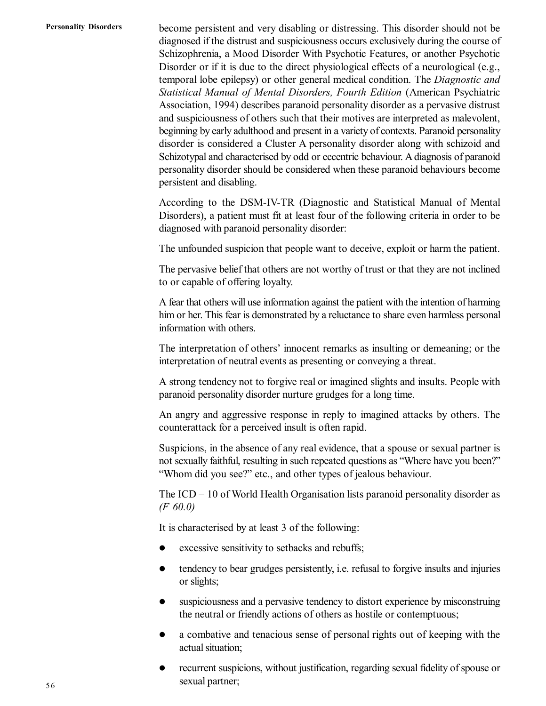become persistent and very disabling or distressing. This disorder should not be diagnosed if the distrust and suspiciousness occurs exclusively during the course of Schizophrenia, a Mood Disorder With Psychotic Features, or another Psychotic Disorder or if it is due to the direct physiological effects of a neurological (e.g., temporal lobe epilepsy) or other general medical condition. The *Diagnostic and Statistical Manual of Mental Disorders, Fourth Edition* (American Psychiatric Association, 1994) describes paranoid personality disorder as a pervasive distrust and suspiciousness of others such that their motives are interpreted as malevolent, beginning by early adulthood and present in a variety of contexts. Paranoid personality disorder is considered a Cluster A personality disorder along with schizoid and Schizotypal and characterised by odd or eccentric behaviour. A diagnosis of paranoid personality disorder should be considered when these paranoid behaviours become persistent and disabling.

According to the DSM-IV-TR (Diagnostic and Statistical Manual of Mental Disorders), a patient must fit at least four of the following criteria in order to be diagnosed with paranoid personality disorder:

The unfounded suspicion that people want to deceive, exploit or harm the patient.

The pervasive belief that others are not worthy of trust or that they are not inclined to or capable of offering loyalty.

A fear that others will use information against the patient with the intention of harming him or her. This fear is demonstrated by a reluctance to share even harmless personal information with others.

The interpretation of others' innocent remarks as insulting or demeaning; or the interpretation of neutral events as presenting or conveying a threat.

A strong tendency not to forgive real or imagined slights and insults. People with paranoid personality disorder nurture grudges for a long time.

An angry and aggressive response in reply to imagined attacks by others. The counterattack for a perceived insult is often rapid.

Suspicions, in the absence of any real evidence, that a spouse or sexual partner is not sexually faithful, resulting in such repeated questions as "Where have you been?" "Whom did you see?" etc., and other types of jealous behaviour.

The ICD – 10 of World Health Organisation lists paranoid personality disorder as *(F 60.0)*

It is characterised by at least 3 of the following:

- excessive sensitivity to setbacks and rebuffs;
- tendency to bear grudges persistently, i.e. refusal to forgive insults and injuries or slights;
- suspiciousness and a pervasive tendency to distort experience by misconstruing the neutral or friendly actions of others as hostile or contemptuous;
- a combative and tenacious sense of personal rights out of keeping with the actual situation;
- recurrent suspicions, without justification, regarding sexual fidelity of spouse or sexual partner;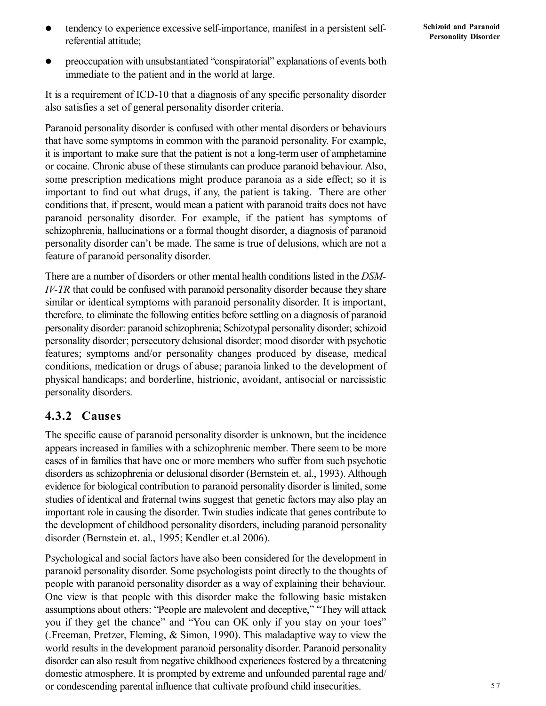- tendency to experience excessive self-importance, manifest in a persistent selfreferential attitude;
- preoccupation with unsubstantiated "conspiratorial" explanations of events both immediate to the patient and in the world at large.

It is a requirement of ICD-10 that a diagnosis of any specific personality disorder also satisfies a set of general personality disorder criteria.

Paranoid personality disorder is confused with other mental disorders or behaviours that have some symptoms in common with the paranoid personality. For example, it is important to make sure that the patient is not a long-term user of amphetamine or cocaine. Chronic abuse of these stimulants can produce paranoid behaviour. Also, some prescription medications might produce paranoia as a side effect; so it is important to find out what drugs, if any, the patient is taking. There are other conditions that, if present, would mean a patient with paranoid traits does not have paranoid personality disorder. For example, if the patient has symptoms of schizophrenia, hallucinations or a formal thought disorder, a diagnosis of paranoid personality disorder can't be made. The same is true of delusions, which are not a feature of paranoid personality disorder.

There are a number of disorders or other mental health conditions listed in the *DSM-IV-TR* that could be confused with paranoid personality disorder because they share similar or identical symptoms with paranoid personality disorder. It is important, therefore, to eliminate the following entities before settling on a diagnosis of paranoid personality disorder: paranoid schizophrenia; Schizotypal personality disorder; schizoid personality disorder; persecutory delusional disorder; mood disorder with psychotic features; symptoms and/or personality changes produced by disease, medical conditions, medication or drugs of abuse; paranoia linked to the development of physical handicaps; and borderline, histrionic, avoidant, antisocial or narcissistic personality disorders.

### **4.3.2 Causes**

The specific cause of paranoid personality disorder is unknown, but the incidence appears increased in families with a schizophrenic member. There seem to be more cases of in families that have one or more members who suffer from such psychotic disorders as schizophrenia or delusional disorder (Bernstein et. al., 1993). Although evidence for biological contribution to paranoid personality disorder is limited, some studies of identical and fraternal twins suggest that genetic factors may also play an important role in causing the disorder. Twin studies indicate that genes contribute to the development of childhood personality disorders, including paranoid personality disorder (Bernstein et. al., 1995; Kendler et.al 2006).

Psychological and social factors have also been considered for the development in paranoid personality disorder. Some psychologists point directly to the thoughts of people with paranoid personality disorder as a way of explaining their behaviour. One view is that people with this disorder make the following basic mistaken assumptions about others: "People are malevolent and deceptive," "They will attack you if they get the chance" and "You can OK only if you stay on your toes" (.Freeman, Pretzer, Fleming, & Simon, 1990). This maladaptive way to view the world results in the development paranoid personality disorder. Paranoid personality disorder can also result from negative childhood experiences fostered by a threatening domestic atmosphere. It is prompted by extreme and unfounded parental rage and/ or condescending parental influence that cultivate profound child insecurities.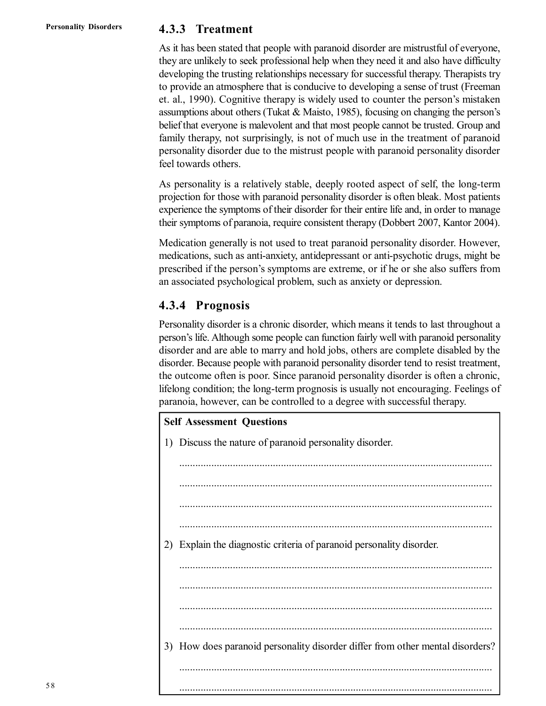### **4.3.3 Treatment**

As it has been stated that people with paranoid disorder are mistrustful of everyone, they are unlikely to seek professional help when they need it and also have difficulty developing the trusting relationships necessary for successful therapy. Therapists try to provide an atmosphere that is conducive to developing a sense of trust (Freeman et. al., 1990). Cognitive therapy is widely used to counter the person's mistaken assumptions about others (Tukat & Maisto, 1985), focusing on changing the person's belief that everyone is malevolent and that most people cannot be trusted. Group and family therapy, not surprisingly, is not of much use in the treatment of paranoid personality disorder due to the mistrust people with paranoid personality disorder feel towards others.

As personality is a relatively stable, deeply rooted aspect of self, the long-term projection for those with paranoid personality disorder is often bleak. Most patients experience the symptoms of their disorder for their entire life and, in order to manage their symptoms of paranoia, require consistent therapy (Dobbert 2007, Kantor 2004).

Medication generally is not used to treat paranoid personality disorder. However, medications, such as anti-anxiety, antidepressant or anti-psychotic drugs, might be prescribed if the person's symptoms are extreme, or if he or she also suffers from an associated psychological problem, such as anxiety or depression.

### **4.3.4 Prognosis**

Personality disorder is a chronic disorder, which means it tends to last throughout a person's life. Although some people can function fairly well with paranoid personality disorder and are able to marry and hold jobs, others are complete disabled by the disorder. Because people with paranoid personality disorder tend to resist treatment, the outcome often is poor. Since paranoid personality disorder is often a chronic, lifelong condition; the long-term prognosis is usually not encouraging. Feelings of paranoia, however, can be controlled to a degree with successful therapy.

| <b>Self Assessment Questions</b> |                                                                               |  |  |
|----------------------------------|-------------------------------------------------------------------------------|--|--|
|                                  | 1) Discuss the nature of paranoid personality disorder.                       |  |  |
|                                  |                                                                               |  |  |
|                                  |                                                                               |  |  |
|                                  |                                                                               |  |  |
|                                  |                                                                               |  |  |
| 2)                               | Explain the diagnostic criteria of paranoid personality disorder.             |  |  |
|                                  |                                                                               |  |  |
|                                  |                                                                               |  |  |
|                                  |                                                                               |  |  |
|                                  |                                                                               |  |  |
|                                  | 3) How does paranoid personality disorder differ from other mental disorders? |  |  |
|                                  |                                                                               |  |  |
|                                  |                                                                               |  |  |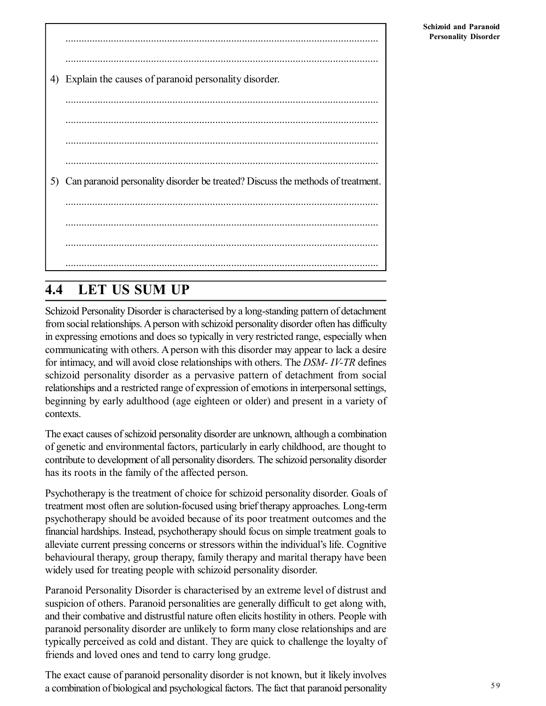| 4) | Explain the causes of paranoid personality disorder.                            |
|----|---------------------------------------------------------------------------------|
|    |                                                                                 |
|    |                                                                                 |
|    |                                                                                 |
| 5) | Can paranoid personality disorder be treated? Discuss the methods of treatment. |
|    |                                                                                 |
|    |                                                                                 |
|    |                                                                                 |
|    |                                                                                 |

# **4.4 LET US SUM UP**

Schizoid Personality Disorder is characterised by a long-standing pattern of detachment from social relationships. A person with schizoid personality disorder often has difficulty in expressing emotions and does so typically in very restricted range, especially when communicating with others. A person with this disorder may appear to lack a desire for intimacy, and will avoid close relationships with others. The *DSM- IV-TR* defines schizoid personality disorder as a pervasive pattern of detachment from social relationships and a restricted range of expression of emotions in interpersonal settings, beginning by early adulthood (age eighteen or older) and present in a variety of contexts.

The exact causes of schizoid personality disorder are unknown, although a combination of genetic and environmental factors, particularly in early childhood, are thought to contribute to development of all personality disorders. The schizoid personality disorder has its roots in the family of the affected person.

Psychotherapy is the treatment of choice for schizoid personality disorder. Goals of treatment most often are solution-focused using brief therapy approaches. Long-term psychotherapy should be avoided because of its poor treatment outcomes and the financial hardships. Instead, psychotherapy should focus on simple treatment goals to alleviate current pressing concerns or stressors within the individual's life. Cognitive behavioural therapy, group therapy, family therapy and marital therapy have been widely used for treating people with schizoid personality disorder.

Paranoid Personality Disorder is characterised by an extreme level of distrust and suspicion of others. Paranoid personalities are generally difficult to get along with, and their combative and distrustful nature often elicits hostility in others. People with paranoid personality disorder are unlikely to form many close relationships and are typically perceived as cold and distant. They are quick to challenge the loyalty of friends and loved ones and tend to carry long grudge.

The exact cause of paranoid personality disorder is not known, but it likely involves a combination of biological and psychological factors. The fact that paranoid personality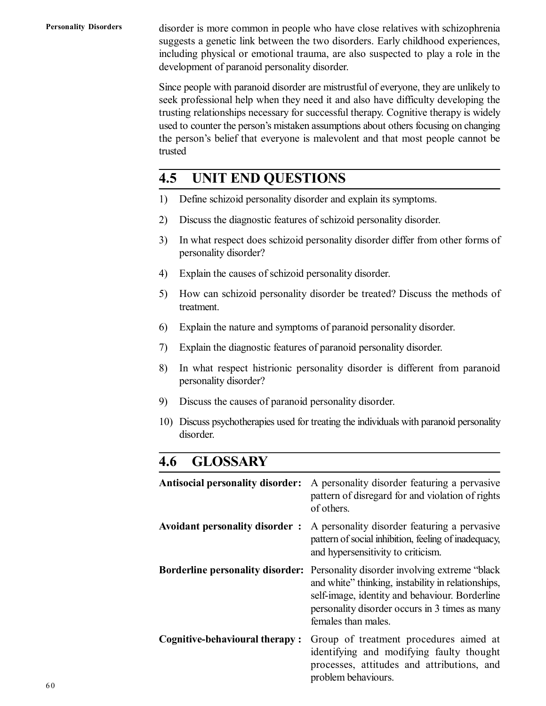**Personality Disorders**

disorder is more common in people who have close relatives with schizophrenia suggests a genetic link between the two disorders. Early childhood experiences, including physical or emotional trauma, are also suspected to play a role in the development of paranoid personality disorder.

Since people with paranoid disorder are mistrustful of everyone, they are unlikely to seek professional help when they need it and also have difficulty developing the trusting relationships necessary for successful therapy. Cognitive therapy is widely used to counter the person's mistaken assumptions about others focusing on changing the person's belief that everyone is malevolent and that most people cannot be trusted

# **4.5 UNIT END QUESTIONS**

- 1) Define schizoid personality disorder and explain its symptoms.
- 2) Discuss the diagnostic features of schizoid personality disorder.
- 3) In what respect does schizoid personality disorder differ from other forms of personality disorder?
- 4) Explain the causes of schizoid personality disorder.
- 5) How can schizoid personality disorder be treated? Discuss the methods of treatment.
- 6) Explain the nature and symptoms of paranoid personality disorder.
- 7) Explain the diagnostic features of paranoid personality disorder.
- 8) In what respect histrionic personality disorder is different from paranoid personality disorder?
- 9) Discuss the causes of paranoid personality disorder.
- 10) Discuss psychotherapies used for treating the individuals with paranoid personality disorder.

# **4.6 GLOSSARY**

| <b>Antisocial personality disorder:</b> | A personality disorder featuring a pervasive<br>pattern of disregard for and violation of rights<br>of others.                                                                                                                                                          |
|-----------------------------------------|-------------------------------------------------------------------------------------------------------------------------------------------------------------------------------------------------------------------------------------------------------------------------|
| Avoidant personality disorder :         | A personality disorder featuring a pervasive<br>pattern of social inhibition, feeling of inadequacy,<br>and hypersensitivity to criticism.                                                                                                                              |
|                                         | <b>Borderline personality disorder:</b> Personality disorder involving extreme "black"<br>and white" thinking, instability in relationships,<br>self-image, identity and behaviour. Borderline<br>personality disorder occurs in 3 times as many<br>females than males. |
| <b>Cognitive-behavioural therapy:</b>   | Group of treatment procedures aimed at<br>identifying and modifying faulty thought<br>processes, attitudes and attributions, and<br>problem behaviours.                                                                                                                 |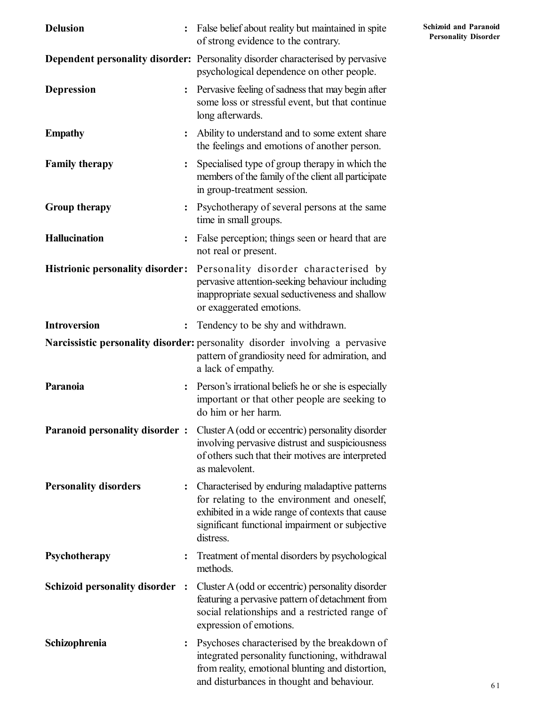| <b>Delusion</b><br>$\ddot{\cdot}$              | False belief about reality but maintained in spite<br>of strong evidence to the contrary.                                                                                                                          | Schiz<br>Per |
|------------------------------------------------|--------------------------------------------------------------------------------------------------------------------------------------------------------------------------------------------------------------------|--------------|
|                                                | <b>Dependent personality disorder:</b> Personality disorder characterised by pervasive<br>psychological dependence on other people.                                                                                |              |
| <b>Depression</b><br>$\ddot{\cdot}$            | Pervasive feeling of sadness that may begin after<br>some loss or stressful event, but that continue<br>long afterwards.                                                                                           |              |
| <b>Empathy</b>                                 | Ability to understand and to some extent share<br>the feelings and emotions of another person.                                                                                                                     |              |
| <b>Family therapy</b><br>$\ddot{\cdot}$        | Specialised type of group therapy in which the<br>members of the family of the client all participate<br>in group-treatment session.                                                                               |              |
| <b>Group therapy</b>                           | Psychotherapy of several persons at the same<br>time in small groups.                                                                                                                                              |              |
| <b>Hallucination</b><br>$\ddot{\cdot}$         | False perception; things seen or heard that are<br>not real or present.                                                                                                                                            |              |
| <b>Histrionic personality disorder:</b>        | Personality disorder characterised by<br>pervasive attention-seeking behaviour including<br>inappropriate sexual seductiveness and shallow<br>or exaggerated emotions.                                             |              |
| <b>Introversion</b><br>$\ddot{\cdot}$          | Tendency to be shy and withdrawn.                                                                                                                                                                                  |              |
|                                                | Narcissistic personality disorder: personality disorder involving a pervasive<br>pattern of grandiosity need for admiration, and<br>a lack of empathy.                                                             |              |
| Paranoia<br>$\ddot{\cdot}$                     | Person's irrational beliefs he or she is especially<br>important or that other people are seeking to<br>do him or her harm.                                                                                        |              |
| <b>Paranoid personality disorder:</b>          | Cluster A (odd or eccentric) personality disorder<br>involving pervasive distrust and suspiciousness<br>of others such that their motives are interpreted<br>as malevolent.                                        |              |
| <b>Personality disorders</b><br>$\ddot{\cdot}$ | Characterised by enduring maladaptive patterns<br>for relating to the environment and oneself,<br>exhibited in a wide range of contexts that cause<br>significant functional impairment or subjective<br>distress. |              |
| Psychotherapy<br>$\ddot{\cdot}$                | Treatment of mental disorders by psychological<br>methods.                                                                                                                                                         |              |
| Schizoid personality disorder :                | Cluster A (odd or eccentric) personality disorder<br>featuring a pervasive pattern of detachment from<br>social relationships and a restricted range of<br>expression of emotions.                                 |              |
| Schizophrenia                                  | Psychoses characterised by the breakdown of<br>integrated personality functioning, withdrawal<br>from reality, emotional blunting and distortion,<br>and disturbances in thought and behaviour.                    |              |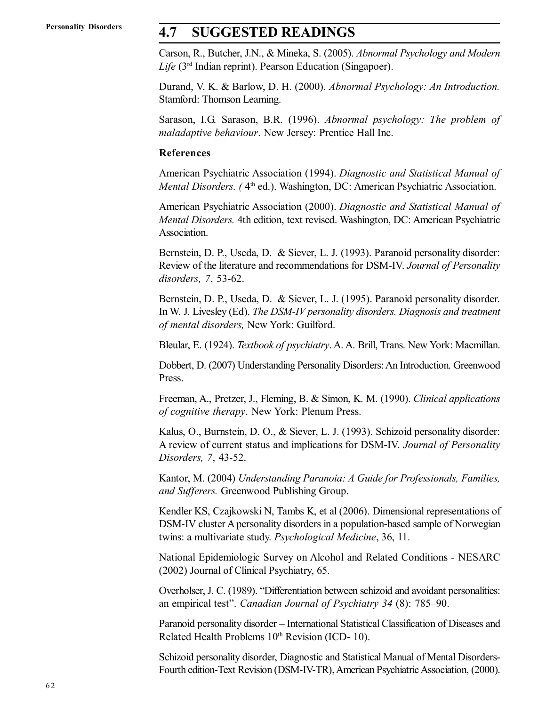# **4.7 SUGGESTED READINGS**

Carson, R., Butcher, J.N., & Mineka, S. (2005). *Abnormal Psychology and Modern Life* (3rd Indian reprint). Pearson Education (Singapoer).

Durand, V. K. & Barlow, D. H. (2000). *Abnormal Psychology: An Introduction.* Stamford: Thomson Learning.

Sarason, I.G. Sarason, B.R. (1996). *Abnormal psychology: The problem of maladaptive behaviour*. New Jersey: Prentice Hall Inc.

#### **References**

American Psychiatric Association (1994). *Diagnostic and Statistical Manual of* Mental Disorders. (4<sup>th</sup> ed.). Washington, DC: American Psychiatric Association.

American Psychiatric Association (2000). *Diagnostic and Statistical Manual of Mental Disorders.* 4th edition, text revised. Washington, DC: American Psychiatric Association.

Bernstein, D. P., Useda, D. & Siever, L. J. (1993). Paranoid personality disorder: Review of the literature and recommendations for DSM-IV. *Journal of Personality disorders, 7*, 53-62.

Bernstein, D. P., Useda, D. & Siever, L. J. (1995). Paranoid personality disorder. In W. J. Livesley (Ed). *The DSM-IV personality disorders. Diagnosis and treatment of mental disorders,* New York: Guilford.

Bleular, E. (1924). *Textbook of psychiatry*. A. A. Brill, Trans. New York: Macmillan.

Dobbert, D. (2007) Understanding Personality Disorders: An Introduction. Greenwood Press.

Freeman, A., Pretzer, J., Fleming, B. & Simon, K. M. (1990). *Clinical applications of cognitive therapy*. New York: Plenum Press.

Kalus, O., Burnstein, D. O., & Siever, L. J. (1993). Schizoid personality disorder: A review of current status and implications for DSM-IV. *Journal of Personality Disorders, 7*, 43-52.

Kantor, M. (2004) *Understanding Paranoia: A Guide for Professionals, Families, and Sufferers.* Greenwood Publishing Group.

Kendler KS, Czajkowski N, Tambs K, et al (2006). Dimensional representations of DSM-IV cluster A personality disorders in a population-based sample of Norwegian twins: a multivariate study. *Psychological Medicine*, 36, 11.

National Epidemiologic Survey on Alcohol and Related Conditions - NESARC (2002) Journal of Clinical Psychiatry, 65.

Overholser, J. C. (1989). "Differentiation between schizoid and avoidant personalities: an empirical test". *Canadian Journal of Psychiatry 34* (8): 785–90.

Paranoid personality disorder – International Statistical Classification of Diseases and Related Health Problems  $10<sup>th</sup>$  Revision (ICD- 10).

Schizoid personality disorder, Diagnostic and Statistical Manual of Mental Disorders-Fourth edition-Text Revision (DSM-IV-TR), American Psychiatric Association, (2000).